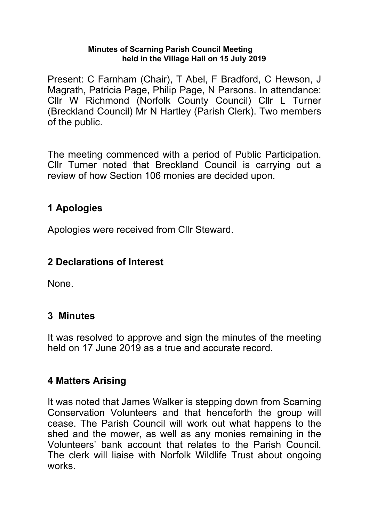#### **Minutes of Scarning Parish Council Meeting held in the Village Hall on 15 July 2019**

Present: C Farnham (Chair), T Abel, F Bradford, C Hewson, J Magrath, Patricia Page, Philip Page, N Parsons. In attendance: Cllr W Richmond (Norfolk County Council) Cllr L Turner (Breckland Council) Mr N Hartley (Parish Clerk). Two members of the public.

The meeting commenced with a period of Public Participation. Cllr Turner noted that Breckland Council is carrying out a review of how Section 106 monies are decided upon.

# **1 Apologies**

Apologies were received from Cllr Steward.

# **2 Declarations of Interest**

None.

# **3 Minutes**

It was resolved to approve and sign the minutes of the meeting held on 17 June 2019 as a true and accurate record.

# **4 Matters Arising**

It was noted that James Walker is stepping down from Scarning Conservation Volunteers and that henceforth the group will cease. The Parish Council will work out what happens to the shed and the mower, as well as any monies remaining in the Volunteers' bank account that relates to the Parish Council. The clerk will liaise with Norfolk Wildlife Trust about ongoing works.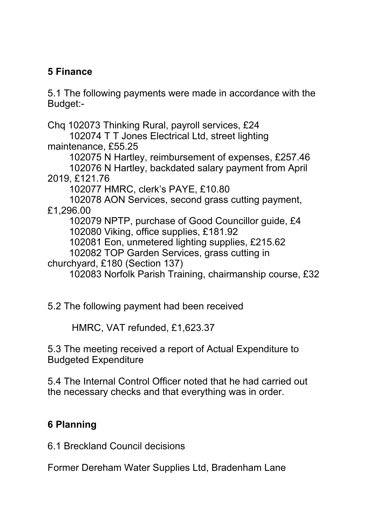# **5 Finance**

5.1 The following payments were made in accordance with the Budget:-

Chq 102073 Thinking Rural, payroll services, £24

 102074 T T Jones Electrical Ltd, street lighting maintenance, £55.25

 102075 N Hartley, reimbursement of expenses, £257.46 102076 N Hartley, backdated salary payment from April

2019, £121.76

102077 HMRC, clerk's PAYE, £10.80

 102078 AON Services, second grass cutting payment, £1,296.00

102079 NPTP, purchase of Good Councillor guide, £4

102080 Viking, office supplies, £181.92

102081 Eon, unmetered lighting supplies, £215.62

102082 TOP Garden Services, grass cutting in

churchyard, £180 (Section 137)

102083 Norfolk Parish Training, chairmanship course, £32

5.2 The following payment had been received

HMRC, VAT refunded, £1,623.37

5.3 The meeting received a report of Actual Expenditure to Budgeted Expenditure

5.4 The Internal Control Officer noted that he had carried out the necessary checks and that everything was in order.

# **6 Planning**

6.1 Breckland Council decisions

Former Dereham Water Supplies Ltd, Bradenham Lane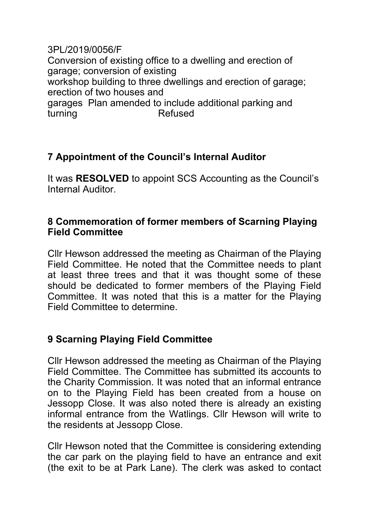3PL/2019/0056/F Conversion of existing office to a dwelling and erection of garage; conversion of existing workshop building to three dwellings and erection of garage; erection of two houses and garages Plan amended to include additional parking and turning Refused

# **7 Appointment of the Council's Internal Auditor**

It was **RESOLVED** to appoint SCS Accounting as the Council's Internal Auditor.

### **8 Commemoration of former members of Scarning Playing Field Committee**

Cllr Hewson addressed the meeting as Chairman of the Playing Field Committee. He noted that the Committee needs to plant at least three trees and that it was thought some of these should be dedicated to former members of the Playing Field Committee. It was noted that this is a matter for the Playing Field Committee to determine.

# **9 Scarning Playing Field Committee**

Cllr Hewson addressed the meeting as Chairman of the Playing Field Committee. The Committee has submitted its accounts to the Charity Commission. It was noted that an informal entrance on to the Playing Field has been created from a house on Jessopp Close. It was also noted there is already an existing informal entrance from the Watlings. Cllr Hewson will write to the residents at Jessopp Close.

Cllr Hewson noted that the Committee is considering extending the car park on the playing field to have an entrance and exit (the exit to be at Park Lane). The clerk was asked to contact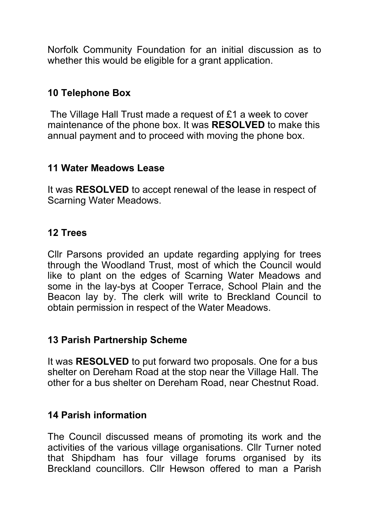Norfolk Community Foundation for an initial discussion as to whether this would be eligible for a grant application.

# **10 Telephone Box**

 The Village Hall Trust made a request of £1 a week to cover maintenance of the phone box. It was **RESOLVED** to make this annual payment and to proceed with moving the phone box.

#### **11 Water Meadows Lease**

It was **RESOLVED** to accept renewal of the lease in respect of Scarning Water Meadows.

### **12 Trees**

Cllr Parsons provided an update regarding applying for trees through the Woodland Trust, most of which the Council would like to plant on the edges of Scarning Water Meadows and some in the lay-bys at Cooper Terrace, School Plain and the Beacon lay by. The clerk will write to Breckland Council to obtain permission in respect of the Water Meadows.

### **13 Parish Partnership Scheme**

It was **RESOLVED** to put forward two proposals. One for a bus shelter on Dereham Road at the stop near the Village Hall. The other for a bus shelter on Dereham Road, near Chestnut Road.

### **14 Parish information**

The Council discussed means of promoting its work and the activities of the various village organisations. Cllr Turner noted that Shipdham has four village forums organised by its Breckland councillors. Cllr Hewson offered to man a Parish